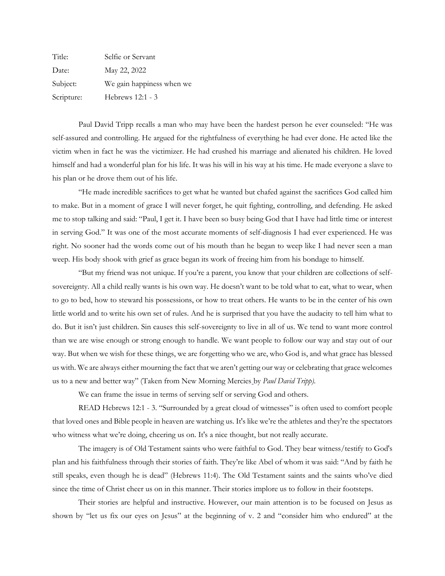Title: Selfie or Servant Date: May 22, 2022 Subject: We gain happiness when we Scripture: Hebrews 12:1 - 3

Paul David Tripp recalls a man who may have been the hardest person he ever counseled: "He was self-assured and controlling. He argued for the rightfulness of everything he had ever done. He acted like the victim when in fact he was the victimizer. He had crushed his marriage and alienated his children. He loved himself and had a wonderful plan for his life. It was his will in his way at his time. He made everyone a slave to his plan or he drove them out of his life.

"He made incredible sacrifices to get what he wanted but chafed against the sacrifices God called him to make. But in a moment of grace I will never forget, he quit fighting, controlling, and defending. He asked me to stop talking and said: "Paul, I get it. I have been so busy being God that I have had little time or interest in serving God." It was one of the most accurate moments of self-diagnosis I had ever experienced. He was right. No sooner had the words come out of his mouth than he began to weep like I had never seen a man weep. His body shook with grief as grace began its work of freeing him from his bondage to himself.

"But my friend was not unique. If you're a parent, you know that your children are collections of selfsovereignty. All a child really wants is his own way. He doesn't want to be told what to eat, what to wear, when to go to bed, how to steward his possessions, or how to treat others. He wants to be in the center of his own little world and to write his own set of rules. And he is surprised that you have the audacity to tell him what to do. But it isn't just children. Sin causes this self-sovereignty to live in all of us. We tend to want more control than we are wise enough or strong enough to handle. We want people to follow our way and stay out of our way. But when we wish for these things, we are forgetting who we are, who God is, and what grace has blessed us with. We are always either mourning the fact that we aren't getting our way or celebrating that grace welcomes us to a new and better way" (Taken from [New Morning Mercies](https://amzn.to/2V6Tie3) by *Paul David Tripp).*

We can frame the issue in terms of serving self or serving God and others.

READ Hebrews 12:1 - 3. "Surrounded by a great cloud of witnesses" is often used to comfort people that loved ones and Bible people in heaven are watching us. It's like we're the athletes and they're the spectators who witness what we're doing, cheering us on. It's a nice thought, but not really accurate.

The imagery is of Old Testament saints who were faithful to God. They bear witness/testify to God's plan and his faithfulness through their stories of faith. They're like Abel of whom it was said: "And by faith he still speaks, even though he is dead" (Hebrews 11:4). The Old Testament saints and the saints who've died since the time of Christ cheer us on in this manner. Their stories implore us to follow in their footsteps.

Their stories are helpful and instructive. However, our main attention is to be focused on Jesus as shown by "let us fix our eyes on Jesus" at the beginning of v. 2 and "consider him who endured" at the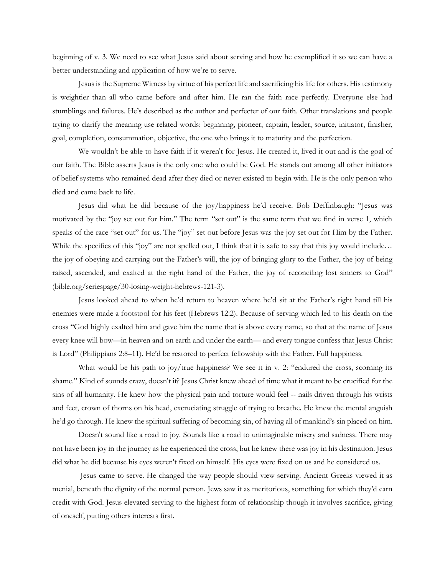beginning of v. 3. We need to see what Jesus said about serving and how he exemplified it so we can have a better understanding and application of how we're to serve.

Jesus is the Supreme Witness by virtue of his perfect life and sacrificing his life for others. His testimony is weightier than all who came before and after him. He ran the faith race perfectly. Everyone else had stumblings and failures. He's described as the author and perfecter of our faith. Other translations and people trying to clarify the meaning use related words: beginning, pioneer, captain, leader, source, initiator, finisher, goal, completion, consummation, objective, the one who brings it to maturity and the perfection.

We wouldn't be able to have faith if it weren't for Jesus. He created it, lived it out and is the goal of our faith. The Bible asserts Jesus is the only one who could be God. He stands out among all other initiators of belief systems who remained dead after they died or never existed to begin with. He is the only person who died and came back to life.

Jesus did what he did because of the joy/happiness he'd receive. Bob Deffinbaugh: "Jesus was motivated by the "joy set out for him." The term "set out" is the same term that we find in verse 1, which speaks of the race "set out" for us. The "joy" set out before Jesus was the joy set out for Him by the Father. While the specifics of this "joy" are not spelled out, I think that it is safe to say that this joy would include... the joy of obeying and carrying out the Father's will, the joy of bringing glory to the Father, the joy of being raised, ascended, and exalted at the right hand of the Father, the joy of reconciling lost sinners to God" (bible.org/seriespage/30-losing-weight-hebrews-121-3).

Jesus looked ahead to when he'd return to heaven where he'd sit at the Father's right hand till his enemies were made a footstool for his feet (Hebrews 12:2). Because of serving which led to his death on the cross "God highly exalted him and gave him the name that is above every name, so that at the name of Jesus every knee will bow—in heaven and on earth and under the earth— and every tongue confess that Jesus Christ is Lord" (Philippians 2:8–11). He'd be restored to perfect fellowship with the Father. Full happiness.

What would be his path to joy/true happiness? We see it in v. 2: "endured the cross, scorning its shame." Kind of sounds crazy, doesn't it? Jesus Christ knew ahead of time what it meant to be crucified for the sins of all humanity. He knew how the physical pain and torture would feel -- nails driven through his wrists and feet, crown of thorns on his head, excruciating struggle of trying to breathe. He knew the mental anguish he'd go through. He knew the spiritual suffering of becoming sin, of having all of mankind's sin placed on him.

Doesn't sound like a road to joy. Sounds like a road to unimaginable misery and sadness. There may not have been joy in the journey as he experienced the cross, but he knew there was joy in his destination. Jesus did what he did because his eyes weren't fixed on himself. His eyes were fixed on us and he considered us.

Jesus came to serve. He changed the way people should view serving. Ancient Greeks viewed it as menial, beneath the dignity of the normal person. Jews saw it as meritorious, something for which they'd earn credit with God. Jesus elevated serving to the highest form of relationship though it involves sacrifice, giving of oneself, putting others interests first.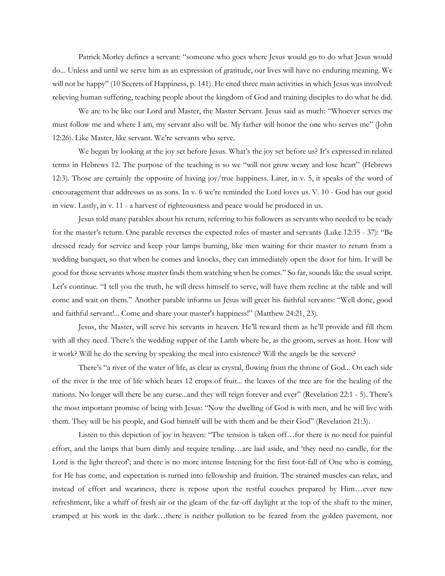Patrick Morley defines a servant: "someone who goes where Jesus would go to do what Jesus would do... Unless and until we serve him as an expression of gratitude, our lives will have no enduring meaning. We will not be happy" (10 Secrets of Happiness, p. 141). He cited three main activities in which Jesus was involved: relieving human suffering, teaching people about the kingdom of God and training disciples to do what he did.

We are to be like our Lord and Master, the Master Servant. Jesus said as much: "Whoever serves me must follow me and where I am, my servant also will be. My father will honor the one who serves me" (John 12:26). Like Master, like servant. We're servants who serve.

We began by looking at the joy set before Jesus. What's the joy set before us? It's expressed in related terms in Hebrews 12. The purpose of the teaching is so we "will not grow weary and lose heart" (Hebrews 12:3). Those are certainly the opposite of having joy/true happiness. Later, in v. 5, it speaks of the word of encouragement that addresses us as sons. In v. 6 we're reminded the Lord loves us. V. 10 - God has our good in view. Lastly, in v. 11 - a harvest of righteousness and peace would be produced in us.

Jesus told many parables about his return, referring to his followers as servants who needed to be ready for the master's return. One parable reverses the expected roles of master and servants (Luke 12:35 - 37): "Be dressed ready for service and keep your lamps burning, like men waiting for their master to return from a wedding banquet, so that when he comes and knocks, they can immediately open the door for him. It will be good for those servants whose master finds them watching when he comes." So far, sounds like the usual script. Let's continue. "I tell you the truth, he will dress himself to serve, will have them recline at the table and will come and wait on them." Another parable informs us Jesus will greet his faithful servants: "Well done, good and faithful servant!... Come and share your master's happiness!" (Matthew 24:21, 23).

Jesus, the Master, will serve his servants in heaven. He'll reward them as he'll provide and fill them with all they need. There's the wedding supper of the Lamb where he, as the groom, serves as host. How will it work? Will he do the serving by speaking the meal into existence? Will the angels be the servers?

There's "a river of the water of life, as clear as crystal, flowing from the throne of God... On each side of the river is the tree of life which bears 12 crops of fruit... the leaves of the tree are for the healing of the nations. No longer will there be any curse...and they will reign forever and ever" (Revelation 22:1 - 5). There's the most important promise of being with Jesus: "Now the dwelling of God is with men, and he will live with them. They will be his people, and God himself will be with them and be their God" (Revelation 21:3).

Listen to this depiction of joy in heaven: "The tension is taken off...for there is no need for painful effort, and the lamps that burn dimly and require tending…are laid aside, and 'they need no candle, for the Lord is the light thereof'; and there is no more intense listening for the first foot-fall of One who is coming, for He has come, and expectation is turned into fellowship and fruition. The strained muscles can relax, and instead of effort and weariness, there is repose upon the restful couches prepared by Him…ever new refreshment, like a whiff of fresh air or the gleam of the far-off daylight at the top of the shaft to the miner, cramped at his work in the dark…there is neither pollution to be feared from the golden pavement, nor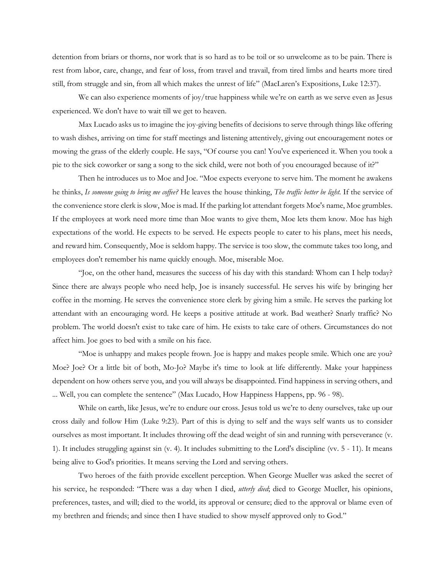detention from briars or thorns, nor work that is so hard as to be toil or so unwelcome as to be pain. There is rest from labor, care, change, and fear of loss, from travel and travail, from tired limbs and hearts more tired still, from struggle and sin, from all which makes the unrest of life" (MacLaren's Expositions, Luke 12:37).

We can also experience moments of joy/true happiness while we're on earth as we serve even as Jesus experienced. We don't have to wait till we get to heaven.

Max Lucado asks us to imagine the joy-giving benefits of decisions to serve through things like offering to wash dishes, arriving on time for staff meetings and listening attentively, giving out encouragement notes or mowing the grass of the elderly couple. He says, "Of course you can! You've experienced it. When you took a pie to the sick coworker or sang a song to the sick child, were not both of you encouraged because of it?"

Then he introduces us to Moe and Joe. "Moe expects everyone to serve him. The moment he awakens he thinks, *Is someone going to bring me coffee?* He leaves the house thinking, *The traffic better be light.* If the service of the convenience store clerk is slow, Moe is mad. If the parking lot attendant forgets Moe's name, Moe grumbles. If the employees at work need more time than Moe wants to give them, Moe lets them know. Moe has high expectations of the world. He expects to be served. He expects people to cater to his plans, meet his needs, and reward him. Consequently, Moe is seldom happy. The service is too slow, the commute takes too long, and employees don't remember his name quickly enough. Moe, miserable Moe.

"Joe, on the other hand, measures the success of his day with this standard: Whom can I help today? Since there are always people who need help, Joe is insanely successful. He serves his wife by bringing her coffee in the morning. He serves the convenience store clerk by giving him a smile. He serves the parking lot attendant with an encouraging word. He keeps a positive attitude at work. Bad weather? Snarly traffic? No problem. The world doesn't exist to take care of him. He exists to take care of others. Circumstances do not affect him. Joe goes to bed with a smile on his face.

"Moe is unhappy and makes people frown. Joe is happy and makes people smile. Which one are you? Moe? Joe? Or a little bit of both, Mo-Jo? Maybe it's time to look at life differently. Make your happiness dependent on how others serve you, and you will always be disappointed. Find happiness in serving others, and ... Well, you can complete the sentence" (Max Lucado, How Happiness Happens, pp. 96 - 98).

While on earth, like Jesus, we're to endure our cross. Jesus told us we're to deny ourselves, take up our cross daily and follow Him (Luke 9:23). Part of this is dying to self and the ways self wants us to consider ourselves as most important. It includes throwing off the dead weight of sin and running with perseverance (v. 1). It includes struggling against sin (v. 4). It includes submitting to the Lord's discipline (vv. 5 - 11). It means being alive to God's priorities. It means serving the Lord and serving others.

Two heroes of the faith provide excellent perception. When George Mueller was asked the secret of his service, he responded: "There was a day when I died, *utterly died*; died to George Mueller, his opinions, preferences, tastes, and will; died to the world, its approval or censure; died to the approval or blame even of my brethren and friends; and since then I have studied to show myself approved only to God."